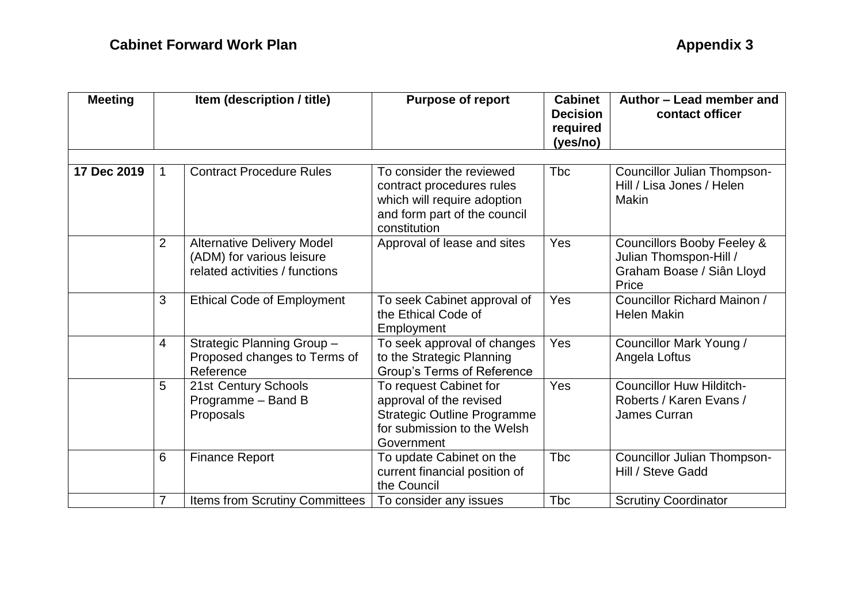| <b>Meeting</b> | Item (description / title) |                                                                                                  | <b>Purpose of report</b>                                                                                                             | <b>Cabinet</b><br><b>Decision</b><br>required<br>(yes/no) | Author - Lead member and<br>contact officer                                                           |  |
|----------------|----------------------------|--------------------------------------------------------------------------------------------------|--------------------------------------------------------------------------------------------------------------------------------------|-----------------------------------------------------------|-------------------------------------------------------------------------------------------------------|--|
| 17 Dec 2019    |                            | <b>Contract Procedure Rules</b>                                                                  | To consider the reviewed<br>contract procedures rules<br>which will require adoption<br>and form part of the council<br>constitution | <b>T</b> bc                                               | <b>Councillor Julian Thompson-</b><br>Hill / Lisa Jones / Helen<br><b>Makin</b>                       |  |
|                | $\overline{2}$             | <b>Alternative Delivery Model</b><br>(ADM) for various leisure<br>related activities / functions | Approval of lease and sites                                                                                                          | Yes                                                       | <b>Councillors Booby Feeley &amp;</b><br>Julian Thomspon-Hill /<br>Graham Boase / Siân Lloyd<br>Price |  |
|                | 3                          | <b>Ethical Code of Employment</b>                                                                | To seek Cabinet approval of<br>the Ethical Code of<br>Employment                                                                     | Yes                                                       | Councillor Richard Mainon /<br><b>Helen Makin</b>                                                     |  |
|                | $\overline{4}$             | Strategic Planning Group -<br>Proposed changes to Terms of<br>Reference                          | To seek approval of changes<br>to the Strategic Planning<br>Group's Terms of Reference                                               | Yes                                                       | Councillor Mark Young /<br>Angela Loftus                                                              |  |
|                | 5                          | 21st Century Schools<br>Programme - Band B<br>Proposals                                          | To request Cabinet for<br>approval of the revised<br><b>Strategic Outline Programme</b><br>for submission to the Welsh<br>Government | Yes                                                       | <b>Councillor Huw Hilditch-</b><br>Roberts / Karen Evans /<br>James Curran                            |  |
|                | 6                          | <b>Finance Report</b>                                                                            | To update Cabinet on the<br>current financial position of<br>the Council                                                             | Tbc                                                       | <b>Councillor Julian Thompson-</b><br>Hill / Steve Gadd                                               |  |
|                | 7                          | <b>Items from Scrutiny Committees</b>                                                            | To consider any issues                                                                                                               | <b>Tbc</b>                                                | <b>Scrutiny Coordinator</b>                                                                           |  |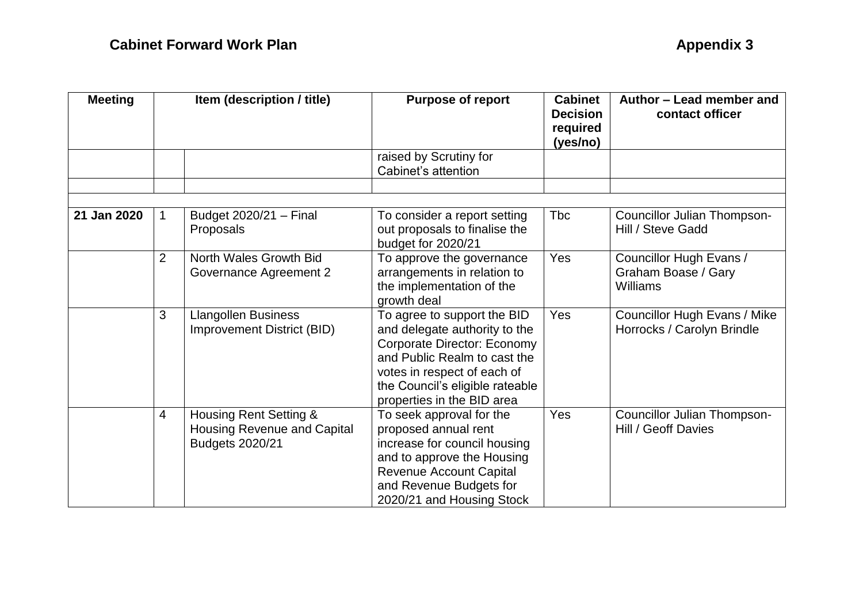| <b>Meeting</b> | Item (description / title) |                                                                                 | <b>Purpose of report</b>                                                                                                                                                                                                    | <b>Cabinet</b><br><b>Decision</b><br>required<br>(yes/no) | Author - Lead member and<br>contact officer                       |
|----------------|----------------------------|---------------------------------------------------------------------------------|-----------------------------------------------------------------------------------------------------------------------------------------------------------------------------------------------------------------------------|-----------------------------------------------------------|-------------------------------------------------------------------|
|                |                            |                                                                                 | raised by Scrutiny for<br>Cabinet's attention                                                                                                                                                                               |                                                           |                                                                   |
|                |                            |                                                                                 |                                                                                                                                                                                                                             |                                                           |                                                                   |
| 21 Jan 2020    | 1                          | Budget 2020/21 - Final<br>Proposals                                             | To consider a report setting<br>out proposals to finalise the<br>budget for 2020/21                                                                                                                                         | Tbc                                                       | Councillor Julian Thompson-<br>Hill / Steve Gadd                  |
|                | $\overline{2}$             | North Wales Growth Bid<br>Governance Agreement 2                                | To approve the governance<br>arrangements in relation to<br>the implementation of the<br>growth deal                                                                                                                        | Yes                                                       | Councillor Hugh Evans /<br>Graham Boase / Gary<br>Williams        |
|                | 3                          | <b>Llangollen Business</b><br><b>Improvement District (BID)</b>                 | To agree to support the BID<br>and delegate authority to the<br>Corporate Director: Economy<br>and Public Realm to cast the<br>votes in respect of each of<br>the Council's eligible rateable<br>properties in the BID area | Yes                                                       | <b>Councillor Hugh Evans / Mike</b><br>Horrocks / Carolyn Brindle |
|                | 4                          | Housing Rent Setting &<br><b>Housing Revenue and Capital</b><br>Budgets 2020/21 | To seek approval for the<br>proposed annual rent<br>increase for council housing<br>and to approve the Housing<br><b>Revenue Account Capital</b><br>and Revenue Budgets for<br>2020/21 and Housing Stock                    | Yes                                                       | <b>Councillor Julian Thompson-</b><br>Hill / Geoff Davies         |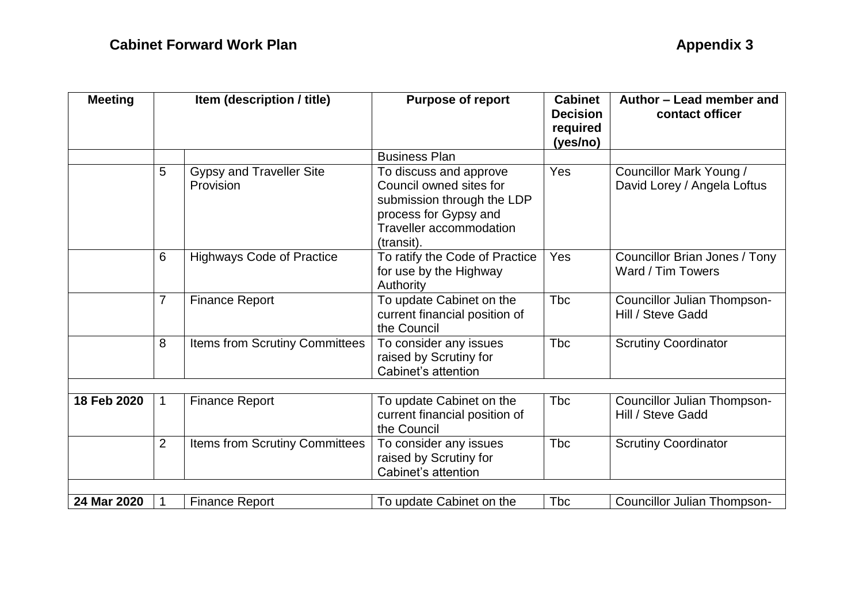| <b>Meeting</b> | Item (description / title) |                                              | <b>Purpose of report</b>                                                                                                                          | <b>Cabinet</b><br><b>Decision</b><br>required<br>(yes/no) | Author - Lead member and<br>contact officer             |  |
|----------------|----------------------------|----------------------------------------------|---------------------------------------------------------------------------------------------------------------------------------------------------|-----------------------------------------------------------|---------------------------------------------------------|--|
|                |                            |                                              | <b>Business Plan</b>                                                                                                                              |                                                           |                                                         |  |
|                | 5                          | <b>Gypsy and Traveller Site</b><br>Provision | To discuss and approve<br>Council owned sites for<br>submission through the LDP<br>process for Gypsy and<br>Traveller accommodation<br>(transit). | Yes                                                       | Councillor Mark Young /<br>David Lorey / Angela Loftus  |  |
|                | 6                          | <b>Highways Code of Practice</b>             | To ratify the Code of Practice<br>for use by the Highway<br>Authority                                                                             | Yes                                                       | Councillor Brian Jones / Tony<br>Ward / Tim Towers      |  |
|                | $\overline{7}$             | <b>Finance Report</b>                        | To update Cabinet on the<br>current financial position of<br>the Council                                                                          | <b>T</b> bc                                               | <b>Councillor Julian Thompson-</b><br>Hill / Steve Gadd |  |
|                | 8                          | Items from Scrutiny Committees               | To consider any issues<br>raised by Scrutiny for<br>Cabinet's attention                                                                           | <b>T</b> bc                                               | <b>Scrutiny Coordinator</b>                             |  |
| 18 Feb 2020    | $\mathbf 1$                | <b>Finance Report</b>                        | To update Cabinet on the<br>current financial position of<br>the Council                                                                          | <b>T</b> bc                                               | <b>Councillor Julian Thompson-</b><br>Hill / Steve Gadd |  |
|                | $\overline{2}$             | Items from Scrutiny Committees               | To consider any issues<br>raised by Scrutiny for<br>Cabinet's attention                                                                           | <b>T</b> bc                                               | <b>Scrutiny Coordinator</b>                             |  |
|                |                            |                                              |                                                                                                                                                   |                                                           |                                                         |  |
| 24 Mar 2020    | 1                          | <b>Finance Report</b>                        | To update Cabinet on the                                                                                                                          | <b>Tbc</b>                                                | Councillor Julian Thompson-                             |  |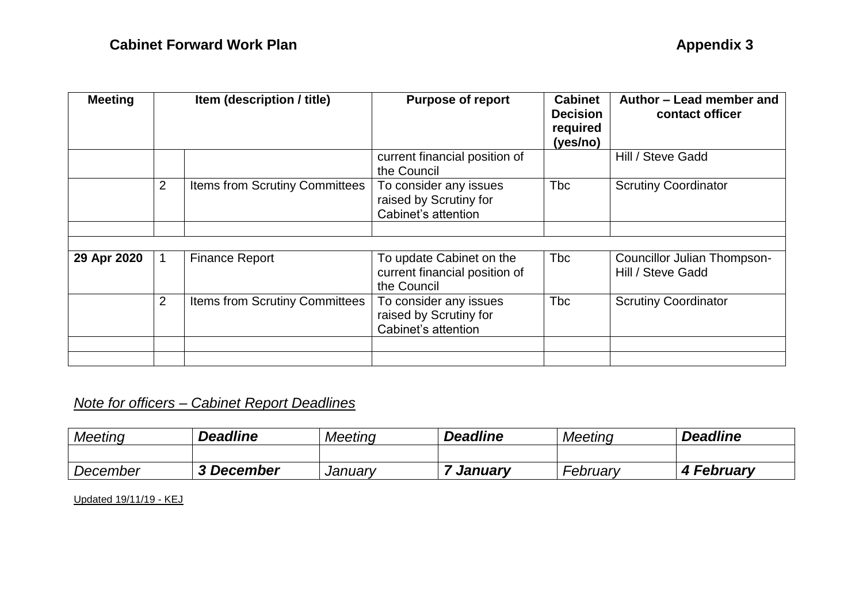| <b>Meeting</b> | Item (description / title) |                                       | <b>Purpose of report</b>                                                 | <b>Cabinet</b><br><b>Decision</b><br>required<br>(yes/no) | Author - Lead member and<br>contact officer             |
|----------------|----------------------------|---------------------------------------|--------------------------------------------------------------------------|-----------------------------------------------------------|---------------------------------------------------------|
|                |                            |                                       | current financial position of<br>the Council                             |                                                           | Hill / Steve Gadd                                       |
|                | $\overline{2}$             | <b>Items from Scrutiny Committees</b> | To consider any issues<br>raised by Scrutiny for<br>Cabinet's attention  | <b>T</b> bc                                               | <b>Scrutiny Coordinator</b>                             |
|                |                            |                                       |                                                                          |                                                           |                                                         |
|                |                            |                                       |                                                                          |                                                           |                                                         |
| 29 Apr 2020    |                            | <b>Finance Report</b>                 | To update Cabinet on the<br>current financial position of<br>the Council | <b>T</b> bc                                               | <b>Councillor Julian Thompson-</b><br>Hill / Steve Gadd |
|                | $\overline{2}$             | <b>Items from Scrutiny Committees</b> | To consider any issues<br>raised by Scrutiny for<br>Cabinet's attention  | <b>T</b> bc                                               | <b>Scrutiny Coordinator</b>                             |
|                |                            |                                       |                                                                          |                                                           |                                                         |
|                |                            |                                       |                                                                          |                                                           |                                                         |

## *Note for officers – Cabinet Report Deadlines*

| <b>Meeting</b> | <b>Deadline</b> | <b>Meeting</b> | <b>Deadline</b> | <b>Meeting</b> | <b>Deadline</b> |
|----------------|-----------------|----------------|-----------------|----------------|-----------------|
|                |                 |                |                 |                |                 |
| December       | 3 December      | January        | Januarv         | February       | February        |

Updated 19/11/19 - KEJ